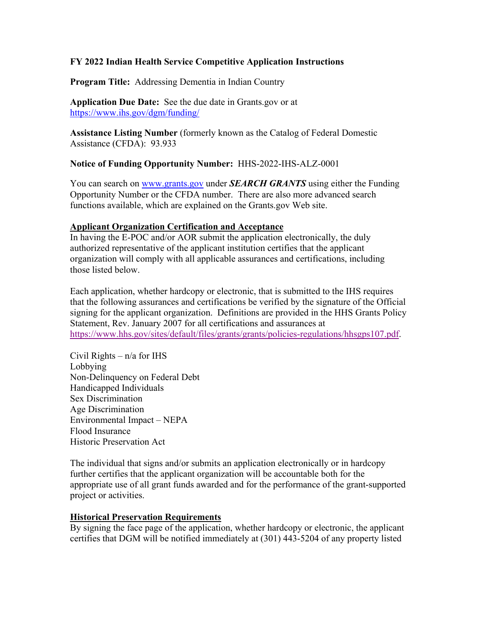#### **FY 2022 Indian Health Service Competitive Application Instructions**

**Program Title:** Addressing Dementia in Indian Country

**Application Due Date:** See the due date in Grants.gov or at https://www.ihs.gov/dgm/funding/

**Assistance Listing Number** (formerly known as the Catalog of Federal Domestic Assistance (CFDA): 93.933

**Notice of Funding Opportunity Number:** HHS-2022-IHS-ALZ-0001

You can search on www.grants.gov under **SEARCH GRANTS** using either the Funding Opportunity Number or the CFDA number. There are also more advanced search functions available, which are explained on the Grants.gov Web site.

#### **Applicant Organization Certification and Acceptance**

In having the E-POC and/or AOR submit the application electronically, the duly authorized representative of the applicant institution certifies that the applicant organization will comply with all applicable assurances and certifications, including those listed below.

Each application, whether hardcopy or electronic, that is submitted to the IHS requires that the following assurances and certifications be verified by the signature of the Official signing for the applicant organization. Definitions are provided in the HHS Grants Policy Statement, Rev. January 2007 for all certifications and assurances at https://www.hhs.gov/sites/default/files/grants/grants/policies-regulations/hhsgps107.pdf.

Civil Rights  $- n/a$  for IHS Lobbying Non-Delinquency on Federal Debt Handicapped Individuals Sex Discrimination Age Discrimination Environmental Impact – NEPA Flood Insurance Historic Preservation Act

The individual that signs and/or submits an application electronically or in hardcopy further certifies that the applicant organization will be accountable both for the appropriate use of all grant funds awarded and for the performance of the grant-supported project or activities.

## **Historical Preservation Requirements**

By signing the face page of the application, whether hardcopy or electronic, the applicant certifies that DGM will be notified immediately at (301) 443-5204 of any property listed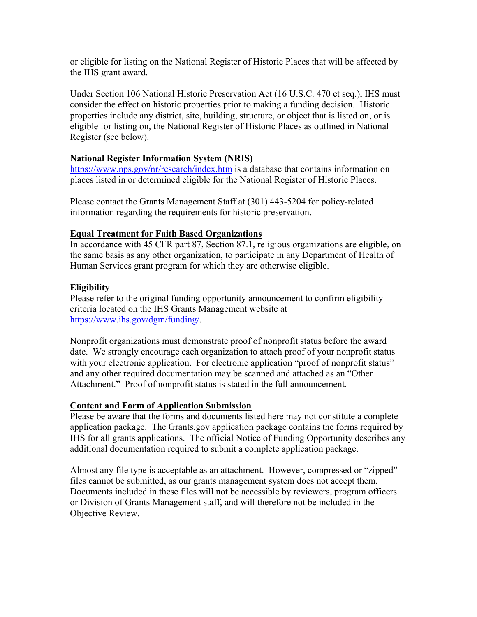or eligible for listing on the National Register of Historic Places that will be affected by the IHS grant award.

Under Section 106 National Historic Preservation Act (16 U.S.C. 470 et seq.), IHS must consider the effect on historic properties prior to making a funding decision. Historic properties include any district, site, building, structure, or object that is listed on, or is eligible for listing on, the National Register of Historic Places as outlined in National Register (see below).

#### **National Register Information System (NRIS)**

https://www.nps.gov/nr/research/index.htm is a database that contains information on places listed in or determined eligible for the National Register of Historic Places.

Please contact the Grants Management Staff at (301) 443-5204 for policy-related information regarding the requirements for historic preservation.

#### **Equal Treatment for Faith Based Organizations**

In accordance with 45 CFR part 87, Section 87.1, religious organizations are eligible, on the same basis as any other organization, to participate in any Department of Health of Human Services grant program for which they are otherwise eligible.

#### **Eligibility**

Please refer to the original funding opportunity announcement to confirm eligibility criteria located on the IHS Grants Management website at https://www.ihs.gov/dgm/funding/.

Nonprofit organizations must demonstrate proof of nonprofit status before the award date. We strongly encourage each organization to attach proof of your nonprofit status with your electronic application. For electronic application "proof of nonprofit status" and any other required documentation may be scanned and attached as an "Other Attachment." Proof of nonprofit status is stated in the full announcement.

#### **Content and Form of Application Submission**

Please be aware that the forms and documents listed here may not constitute a complete application package. The Grants.gov application package contains the forms required by IHS for all grants applications. The official Notice of Funding Opportunity describes any additional documentation required to submit a complete application package.

Almost any file type is acceptable as an attachment. However, compressed or "zipped" files cannot be submitted, as our grants management system does not accept them. Documents included in these files will not be accessible by reviewers, program officers or Division of Grants Management staff, and will therefore not be included in the Objective Review.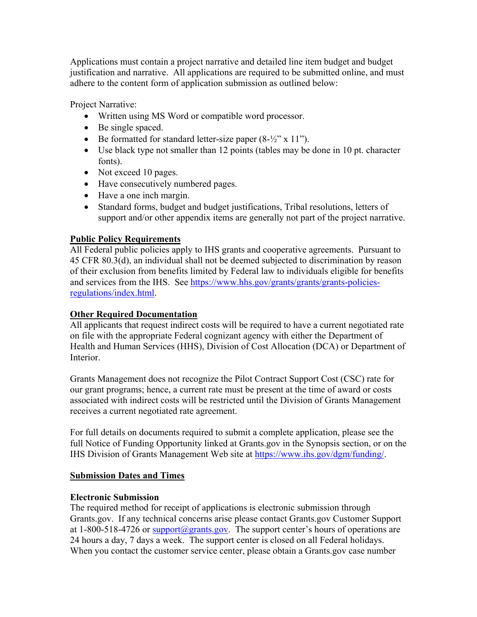Applications must contain a project narrative and detailed line item budget and budget justification and narrative. All applications are required to be submitted online, and must adhere to the content form of application submission as outlined below:

Project Narrative:

- Written using MS Word or compatible word processor.
- Be single spaced.
- Be formatted for standard letter-size paper  $(8-\frac{1}{2})^x \times 11^y$ .
- Use black type not smaller than 12 points (tables may be done in 10 pt. character fonts).
- Not exceed 10 pages.
- Have consecutively numbered pages.
- Have a one inch margin.
- Standard forms, budget and budget justifications, Tribal resolutions, letters of support and/or other appendix items are generally not part of the project narrative.

## **Public Policy Requirements**

All Federal public policies apply to IHS grants and cooperative agreements. Pursuant to 45 CFR 80.3(d), an individual shall not be deemed subjected to discrimination by reason of their exclusion from benefits limited by Federal law to individuals eligible for benefits and services from the IHS. See https://www.hhs.gov/grants/grants/grants-policiesregulations/index.html.

## **Other Required Documentation**

All applicants that request indirect costs will be required to have a current negotiated rate on file with the appropriate Federal cognizant agency with either the Department of Health and Human Services (HHS), Division of Cost Allocation (DCA) or Department of Interior.

Grants Management does not recognize the Pilot Contract Support Cost (CSC) rate for our grant programs; hence, a current rate must be present at the time of award or costs associated with indirect costs will be restricted until the Division of Grants Management receives a current negotiated rate agreement.

For full details on documents required to submit a complete application, please see the full Notice of Funding Opportunity linked at Grants.gov in the Synopsis section, or on the IHS Division of Grants Management Web site at https://www.ihs.gov/dgm/funding/.

## **Submission Dates and Times**

## **Electronic Submission**

The required method for receipt of applications is electronic submission through Grants.gov. If any technical concerns arise please contact Grants.gov Customer Support at 1-800-518-4726 or support@grants.gov. The support center's hours of operations are 24 hours a day, 7 days a week. The support center is closed on all Federal holidays. When you contact the customer service center, please obtain a Grants.gov case number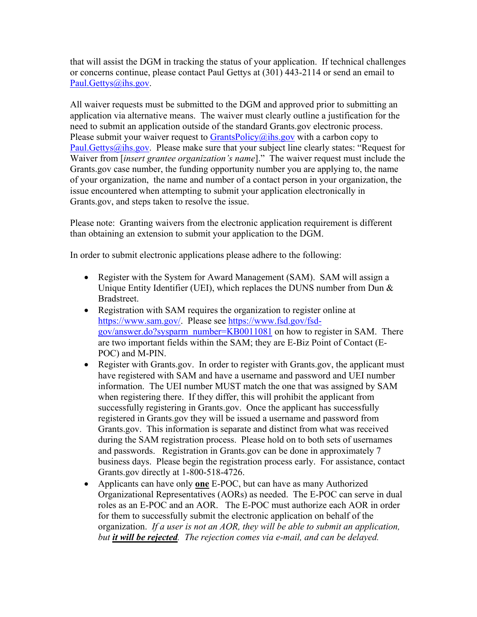that will assist the DGM in tracking the status of your application. If technical challenges or concerns continue, please contact Paul Gettys at (301) 443-2114 or send an email to Paul.Gettys@ihs.gov.

All waiver requests must be submitted to the DGM and approved prior to submitting an application via alternative means. The waiver must clearly outline a justification for the need to submit an application outside of the standard Grants.gov electronic process. Please submit your waiver request to  $GrantsPolicy@ihs.gov$  with a carbon copy to Paul. Gettys  $\hat{\omega}$  ihs.gov. Please make sure that your subject line clearly states: "Request for Waiver from [*insert grantee organization's name*]." The waiver request must include the Grants.gov case number, the funding opportunity number you are applying to, the name of your organization, the name and number of a contact person in your organization, the issue encountered when attempting to submit your application electronically in Grants.gov, and steps taken to resolve the issue.

Please note: Granting waivers from the electronic application requirement is different than obtaining an extension to submit your application to the DGM.

In order to submit electronic applications please adhere to the following:

- Register with the System for Award Management (SAM). SAM will assign a Unique Entity Identifier (UEI), which replaces the DUNS number from Dun & Bradstreet.
- Registration with SAM requires the organization to register online at https://www.sam.gov/. Please see https://www.fsd.gov/fsdgov/answer.do?sysparm\_number=KB0011081 on how to register in SAM. There are two important fields within the SAM; they are E-Biz Point of Contact (E-POC) and M-PIN.
- Register with Grants.gov. In order to register with Grants.gov, the applicant must have registered with SAM and have a username and password and UEI number information. The UEI number MUST match the one that was assigned by SAM when registering there. If they differ, this will prohibit the applicant from successfully registering in Grants.gov. Once the applicant has successfully registered in Grants.gov they will be issued a username and password from Grants.gov. This information is separate and distinct from what was received during the SAM registration process. Please hold on to both sets of usernames and passwords. Registration in Grants.gov can be done in approximately 7 business days. Please begin the registration process early. For assistance, contact Grants.gov directly at 1-800-518-4726.
- Applicants can have only **one** E-POC, but can have as many Authorized Organizational Representatives (AORs) as needed. The E-POC can serve in dual roles as an E-POC and an AOR. The E-POC must authorize each AOR in order for them to successfully submit the electronic application on behalf of the organization. *If a user is not an AOR, they will be able to submit an application, but it will be rejected. The rejection comes via e-mail, and can be delayed.*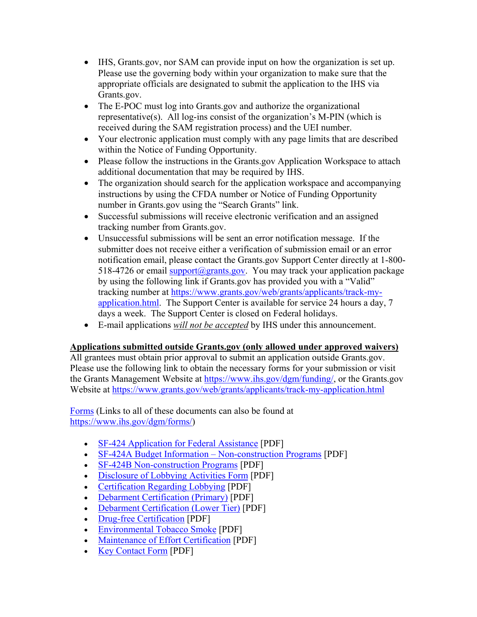- IHS, Grants.gov, nor SAM can provide input on how the organization is set up. Please use the governing body within your organization to make sure that the appropriate officials are designated to submit the application to the IHS via Grants.gov.
- The E-POC must log into Grants.gov and authorize the organizational representative(s). All log-ins consist of the organization's M-PIN (which is received during the SAM registration process) and the UEI number.
- Your electronic application must comply with any page limits that are described within the Notice of Funding Opportunity.
- Please follow the instructions in the Grants.gov Application Workspace to attach additional documentation that may be required by IHS.
- The organization should search for the application workspace and accompanying instructions by using the CFDA number or Notice of Funding Opportunity number in Grants.gov using the "Search Grants" link.
- Successful submissions will receive electronic verification and an assigned tracking number from Grants.gov.
- Unsuccessful submissions will be sent an error notification message. If the submitter does not receive either a verification of submission email or an error notification email, please contact the Grants.gov Support Center directly at 1-800- 518-4726 or email support@grants.gov. You may track your application package by using the following link if Grants.gov has provided you with a "Valid" tracking number at https://www.grants.gov/web/grants/applicants/track-myapplication.html. The Support Center is available for service 24 hours a day, 7 days a week. The Support Center is closed on Federal holidays.
- E-mail applications *will not be accepted* by IHS under this announcement.

# **Applications submitted outside Grants.gov (only allowed under approved waivers)**

All grantees must obtain prior approval to submit an application outside Grants.gov. Please use the following link to obtain the necessary forms for your submission or visit the Grants Management Website at https://www.ihs.gov/dgm/funding/, or the Grants.gov Website at https://www.grants.gov/web/grants/applicants/track-my-application.html

Forms (Links to all of these documents can also be found at https://www.ihs.gov/dgm/forms/)

- SF-424 Application for Federal Assistance [PDF]
- SF-424A Budget Information Non-construction Programs [PDF]
- SF-424B Non-construction Programs [PDF]
- Disclosure of Lobbying Activities Form [PDF]
- Certification Regarding Lobbying [PDF]
- Debarment Certification (Primary) [PDF]
- Debarment Certification (Lower Tier) [PDF]
- Drug-free Certification [PDF]
- Environmental Tobacco Smoke [PDF]
- Maintenance of Effort Certification [PDF]
- Key Contact Form [PDF]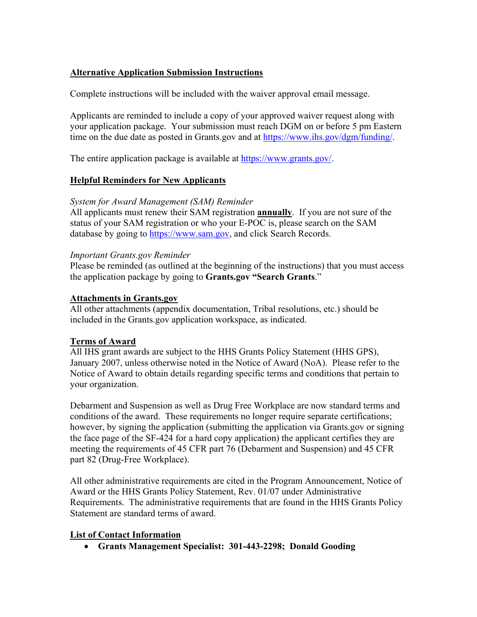## **Alternative Application Submission Instructions**

Complete instructions will be included with the waiver approval email message.

Applicants are reminded to include a copy of your approved waiver request along with your application package. Your submission must reach DGM on or before 5 pm Eastern time on the due date as posted in Grants.gov and at https://www.ihs.gov/dgm/funding/.

The entire application package is available at https://www.grants.gov/.

## **Helpful Reminders for New Applicants**

## *System for Award Management (SAM) Reminder*

All applicants must renew their SAM registration **annually**. If you are not sure of the status of your SAM registration or who your E-POC is, please search on the SAM database by going to https://www.sam.gov, and click Search Records.

## *Important Grants.gov Reminder*

Please be reminded (as outlined at the beginning of the instructions) that you must access the application package by going to **Grants.gov "Search Grants**."

## **Attachments in Grants.gov**

All other attachments (appendix documentation, Tribal resolutions, etc.) should be included in the Grants.gov application workspace, as indicated.

## **Terms of Award**

All IHS grant awards are subject to the HHS Grants Policy Statement (HHS GPS), January 2007, unless otherwise noted in the Notice of Award (NoA). Please refer to the Notice of Award to obtain details regarding specific terms and conditions that pertain to your organization.

Debarment and Suspension as well as Drug Free Workplace are now standard terms and conditions of the award. These requirements no longer require separate certifications; however, by signing the application (submitting the application via Grants.gov or signing the face page of the SF-424 for a hard copy application) the applicant certifies they are meeting the requirements of 45 CFR part 76 (Debarment and Suspension) and 45 CFR part 82 (Drug-Free Workplace).

All other administrative requirements are cited in the Program Announcement, Notice of Award or the HHS Grants Policy Statement, Rev. 01/07 under Administrative Requirements. The administrative requirements that are found in the HHS Grants Policy Statement are standard terms of award.

# **List of Contact Information**

**Grants Management Specialist: 301-443-2298; Donald Gooding**